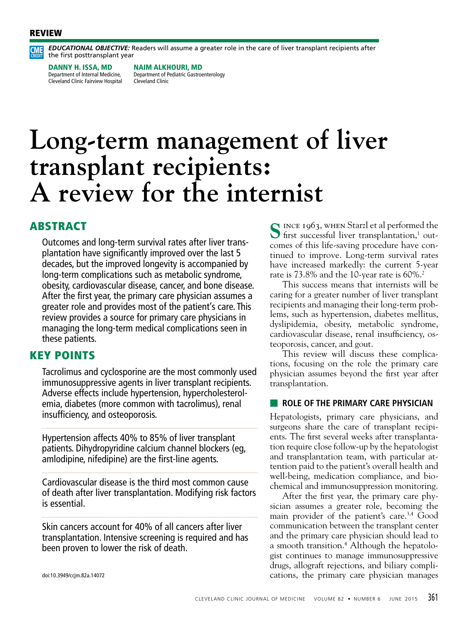#### REVIEW



*EDUCATIONAL OBJECTIVE:* Readers will assume a greater role in the care of liver transplant recipients after the first posttransplant year

DANNY H. ISSA, MD Department of Internal Medicine, Cleveland Clinic Fairview Hospital NAIM ALKHOURI, MD Department of Pediatric Gastroenterology Cleveland Clinic

# **Long-term management of liver transplant recipients: A review for the internist**

# ABSTRACT

Outcomes and long-term survival rates after liver transplantation have significantly improved over the last 5 decades, but the improved longevity is accompanied by long-term complications such as metabolic syndrome, obesity, cardiovascular disease, cancer, and bone disease. After the first year, the primary care physician assumes a greater role and provides most of the patient's care. This review provides a source for primary care physicians in managing the long-term medical complications seen in these patients.

## KEY POINTS

Tacrolimus and cyclosporine are the most commonly used immunosuppressive agents in liver transplant recipients. Adverse effects include hypertension, hypercholesterolemia, diabetes (more common with tacrolimus), renal insufficiency, and osteoporosis.

Hypertension affects 40% to 85% of liver transplant patients. Dihydropyridine calcium channel blockers (eg, amlodipine, nifedipine) are the first-line agents.

Cardiovascular disease is the third most common cause of death after liver transplantation. Modifying risk factors is essential.

Skin cancers account for 40% of all cancers after liver transplantation. Intensive screening is required and has been proven to lower the risk of death.

S INCE 1963, WHEN Starzl et al performed the first successful liver transplantation,<sup>1</sup> outcomes of this life-saving procedure have continued to improve. Long-term survival rates have increased markedly: the current 5-year rate is 73.8% and the 10-year rate is 60%.<sup>2</sup>

This success means that internists will be caring for a greater number of liver transplant recipients and managing their long-term problems, such as hypertension, diabetes mellitus, dyslipidemia, obesity, metabolic syndrome, cardiovascular disease, renal insufficiency, osteoporosis, cancer, and gout.

This review will discuss these complications, focusing on the role the primary care physician assumes beyond the first year after transplantation.

#### ■ **ROLE OF THE PRIMARY CARE PHYSICIAN**

Hepatologists, primary care physicians, and surgeons share the care of transplant recipients. The first several weeks after transplantation require close follow-up by the hepatologist and transplantation team, with particular attention paid to the patient's overall health and well-being, medication compliance, and biochemical and immunosuppression monitoring.

After the first year, the primary care physician assumes a greater role, becoming the main provider of the patient's care.<sup>3,4</sup> Good communication between the transplant center and the primary care physician should lead to a smooth transition.<sup>4</sup> Although the hepatologist continues to manage immunosuppressive drugs, allograft rejections, and biliary complications, the primary care physician manages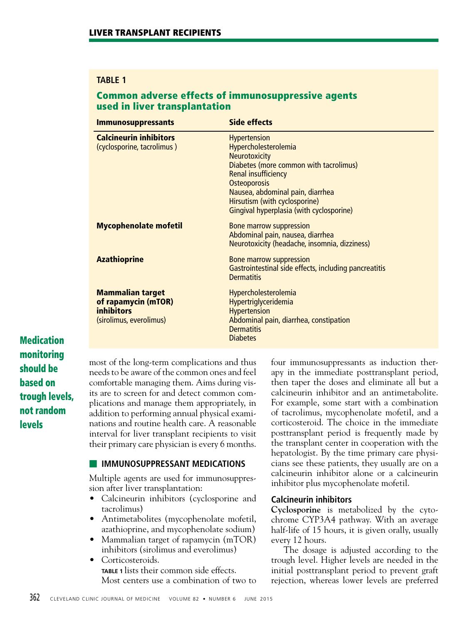## **TABLE 1**

# Common adverse effects of immunosuppressive agents used in liver transplantation

| <b>Immunosuppressants</b>                                                                      | <b>Side effects</b>                                                                                                                                                                                                                                                   |
|------------------------------------------------------------------------------------------------|-----------------------------------------------------------------------------------------------------------------------------------------------------------------------------------------------------------------------------------------------------------------------|
| <b>Calcineurin inhibitors</b><br>(cyclosporine, tacrolimus)                                    | <b>Hypertension</b><br>Hypercholesterolemia<br>Neurotoxicity<br>Diabetes (more common with tacrolimus)<br><b>Renal insufficiency</b><br>Osteoporosis<br>Nausea, abdominal pain, diarrhea<br>Hirsutism (with cyclosporine)<br>Gingival hyperplasia (with cyclosporine) |
| <b>Mycophenolate mofetil</b>                                                                   | <b>Bone marrow suppression</b><br>Abdominal pain, nausea, diarrhea<br>Neurotoxicity (headache, insomnia, dizziness)                                                                                                                                                   |
| <b>Azathioprine</b>                                                                            | <b>Bone marrow suppression</b><br>Gastrointestinal side effects, including pancreatitis<br><b>Dermatitis</b>                                                                                                                                                          |
| <b>Mammalian target</b><br>of rapamycin (mTOR)<br><i>inhibitors</i><br>(sirolimus, everolimus) | Hypercholesterolemia<br>Hypertriglyceridemia<br><b>Hypertension</b><br>Abdominal pain, diarrhea, constipation<br><b>Dermatitis</b><br><b>Diabetes</b>                                                                                                                 |

**Medication** monitoring should be based on trough levels, not random levels

most of the long-term complications and thus needs to be aware of the common ones and feel comfortable managing them. Aims during visits are to screen for and detect common complications and manage them appropriately, in addition to performing annual physical examinations and routine health care. A reasonable interval for liver transplant recipients to visit their primary care physician is every 6 months.

## ■ **IMMUNOSUPPRESSANT MEDICATIONS**

Multiple agents are used for immunosuppression after liver transplantation:

- Calcineurin inhibitors (cyclosporine and tacrolimus)
- Antimetabolites (mycophenolate mofetil, azathioprine, and mycophenolate sodium)
- Mammalian target of rapamycin (mTOR) inhibitors (sirolimus and everolimus)
- Corticosteroids. **TABLE 1** lists their common side effects. Most centers use a combination of two to

four immunosuppressants as induction therapy in the immediate posttransplant period, then taper the doses and eliminate all but a calcineurin inhibitor and an antimetabolite. For example, some start with a combination of tacrolimus, mycophenolate mofetil, and a corticosteroid. The choice in the immediate posttransplant period is frequently made by the transplant center in cooperation with the hepatologist. By the time primary care physicians see these patients, they usually are on a calcineurin inhibitor alone or a calcineurin inhibitor plus mycophenolate mofetil.

## **Calcineurin inhibitors**

**Cyclosporine** is metabolized by the cytochrome CYP3A4 pathway. With an average half-life of 15 hours, it is given orally, usually every 12 hours.

The dosage is adjusted according to the trough level. Higher levels are needed in the initial posttransplant period to prevent graft rejection, whereas lower levels are preferred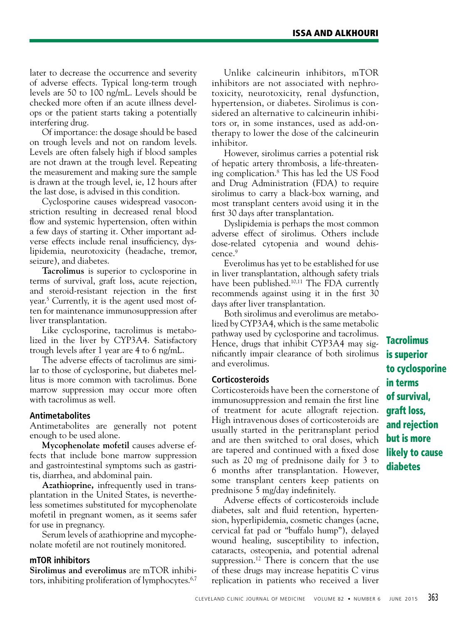later to decrease the occurrence and severity of adverse effects. Typical long-term trough levels are 50 to 100 ng/mL. Levels should be checked more often if an acute illness develops or the patient starts taking a potentially interfering drug.

Of importance: the dosage should be based on trough levels and not on random levels. Levels are often falsely high if blood samples are not drawn at the trough level. Repeating the measurement and making sure the sample is drawn at the trough level, ie, 12 hours after the last dose, is advised in this condition.

Cyclosporine causes widespread vasoconstriction resulting in decreased renal blood flow and systemic hypertension, often within a few days of starting it. Other important adverse effects include renal insufficiency, dyslipidemia, neurotoxicity (headache, tremor, seizure), and diabetes.

**Tacrolimus** is superior to cyclosporine in terms of survival, graft loss, acute rejection, and steroid-resistant rejection in the first year.5 Currently, it is the agent used most often for maintenance immunosuppression after liver transplantation.

Like cyclosporine, tacrolimus is metabolized in the liver by CYP3A4. Satisfactory trough levels after 1 year are 4 to 6 ng/mL.

The adverse effects of tacrolimus are similar to those of cyclosporine, but diabetes mellitus is more common with tacrolimus. Bone marrow suppression may occur more often with tacrolimus as well.

## **Antimetabolites**

Antimetabolites are generally not potent enough to be used alone.

**Mycophenolate mofetil** causes adverse effects that include bone marrow suppression and gastrointestinal symptoms such as gastritis, diarrhea, and abdominal pain.

**Azathioprine,** infrequently used in transplantation in the United States, is nevertheless sometimes substituted for mycophenolate mofetil in pregnant women, as it seems safer for use in pregnancy.

Serum levels of azathioprine and mycophenolate mofetil are not routinely monitored.

#### **mTOR inhibitors**

**Sirolimus and everolimus** are mTOR inhibitors, inhibiting proliferation of lymphocytes.<sup>6,7</sup>

Unlike calcineurin inhibitors, mTOR inhibitors are not associated with nephrotoxicity, neurotoxicity, renal dysfunction, hypertension, or diabetes. Sirolimus is considered an alternative to calcineurin inhibitors or, in some instances, used as add-ontherapy to lower the dose of the calcineurin inhibitor.

However, sirolimus carries a potential risk of hepatic artery thrombosis, a life-threatening complication.8 This has led the US Food and Drug Administration (FDA) to require sirolimus to carry a black-box warning, and most transplant centers avoid using it in the first 30 days after transplantation.

Dyslipidemia is perhaps the most common adverse effect of sirolimus. Others include dose-related cytopenia and wound dehiscence.9

Everolimus has yet to be established for use in liver transplantation, although safety trials have been published.10,11 The FDA currently recommends against using it in the first 30 days after liver transplantation.

Both sirolimus and everolimus are metabolized by CYP3A4, which is the same metabolic pathway used by cyclosporine and tacrolimus. Hence, drugs that inhibit CYP3A4 may significantly impair clearance of both sirolimus and everolimus.

#### **Corticosteroids**

Corticosteroids have been the cornerstone of immunosuppression and remain the first line of treatment for acute allograft rejection. High intravenous doses of corticosteroids are usually started in the peritransplant period and are then switched to oral doses, which are tapered and continued with a fixed dose such as 20 mg of prednisone daily for 3 to 6 months after transplantation. However, some transplant centers keep patients on prednisone 5 mg/day indefinitely.

Adverse effects of corticosteroids include diabetes, salt and fluid retention, hypertension, hyperlipidemia, cosmetic changes (acne, cervical fat pad or "buffalo hump"), delayed wound healing, susceptibility to infection, cataracts, osteopenia, and potential adrenal suppression.<sup>12</sup> There is concern that the use of these drugs may increase hepatitis C virus replication in patients who received a liver

**Tacrolimus** is superior to cyclosporine in terms of survival, graft loss, and rejection but is more likely to cause diabetes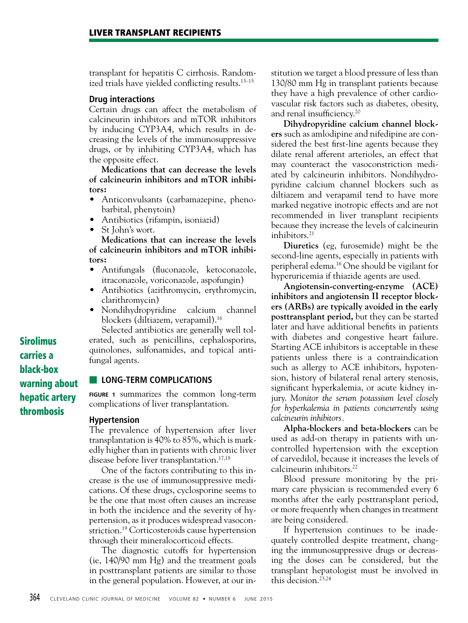transplant for hepatitis C cirrhosis. Randomized trials have yielded conflicting results.13–15

#### **Drug interactions**

Certain drugs can affect the metabolism of calcineurin inhibitors and mTOR inhibitors by inducing CYP3A4, which results in decreasing the levels of the immunosuppressive drugs, or by inhibiting CYP3A4, which has the opposite effect.

**Medications that can decrease the levels of calcineurin inhibitors and mTOR inhibitors:**

- Anticonvulsants (carbamazepine, phenobarbital, phenytoin)
- Antibiotics (rifampin, isoniazid)
- St John's wort.

**Medications that can increase the levels of calcineurin inhibitors and mTOR inhibitors:**

- Antifungals (fluconazole, ketoconazole, itraconazole, voriconazole, aspofungin)
- Antibiotics (azithromycin, erythromycin, clarithromycin)
- Nondihydropyridine calcium channel blockers (diltiazem, verapamil).16

Selected antibiotics are generally well tolerated, such as penicillins, cephalosporins, quinolones, sulfonamides, and topical antifungal agents.

#### **■ LONG-TERM COMPLICATIONS**

**FIGURE 1** summarizes the common long-term complications of liver transplantation.

#### **Hypertension**

The prevalence of hypertension after liver transplantation is 40% to 85%, which is markedly higher than in patients with chronic liver disease before liver transplantation.<sup>17,18</sup>

One of the factors contributing to this increase is the use of immunosuppressive medications. Of these drugs, cyclosporine seems to be the one that most often causes an increase in both the incidence and the severity of hypertension, as it produces widespread vasoconstriction.<sup>19</sup> Corticosteroids cause hypertension through their mineralocorticoid effects.

The diagnostic cutoffs for hypertension (ie, 140/90 mm Hg) and the treatment goals in posttransplant patients are similar to those in the general population. However, at our institution we target a blood pressure of less than 130/80 mm Hg in transplant patients because they have a high prevalence of other cardiovascular risk factors such as diabetes, obesity, and renal insufficiency.20

**Dihydropyridine calcium channel blockers** such as amlodipine and nifedipine are considered the best first-line agents because they dilate renal afferent arterioles, an effect that may counteract the vasoconstriction mediated by calcineurin inhibitors. Nondihydropyridine calcium channel blockers such as diltiazem and verapamil tend to have more marked negative inotropic effects and are not recommended in liver transplant recipients because they increase the levels of calcineurin inhibitors.21

**Diuretics** (eg, furosemide) might be the second-line agents, especially in patients with peripheral edema.16 One should be vigilant for hyperuricemia if thiazide agents are used.

**Angiotensin-converting-enzyme (ACE) inhibitors and angiotensin II receptor blockers (ARBs) are typically avoided in the early posttransplant period,** but they can be started later and have additional benefits in patients with diabetes and congestive heart failure. Starting ACE inhibitors is acceptable in these patients unless there is a contraindication such as allergy to ACE inhibitors, hypotension, history of bilateral renal artery stenosis, significant hyperkalemia, or acute kidney injury. *Monitor the serum potassium level closely for hyperkalemia in patients concurrently using calcineurin inhibitors.* 

**Alpha-blockers and beta-blockers** can be used as add-on therapy in patients with uncontrolled hypertension with the exception of carvedilol, because it increases the levels of calcineurin inhibitors.<sup>22</sup>

Blood pressure monitoring by the primary care physician is recommended every 6 months after the early posttransplant period, or more frequently when changes in treatment are being considered.

If hypertension continues to be inadequately controlled despite treatment, changing the immunosuppressive drugs or decreasing the doses can be considered, but the transplant hepatologist must be involved in this decision.23,24

Sirolimus carries a black-box warning about hepatic artery thrombosis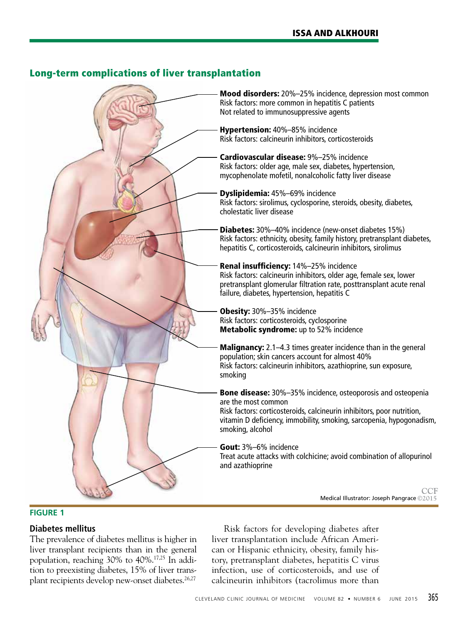

# Long-term complications of liver transplantation

## **FIGURE 1**

## **Diabetes mellitus**

The prevalence of diabetes mellitus is higher in liver transplant recipients than in the general population, reaching 30% to 40%.17,25 In addition to preexisting diabetes, 15% of liver transplant recipients develop new-onset diabetes.<sup>26,27</sup>

Risk factors for developing diabetes after liver transplantation include African American or Hispanic ethnicity, obesity, family history, pretransplant diabetes, hepatitis C virus infection, use of corticosteroids, and use of calcineurin inhibitors (tacrolimus more than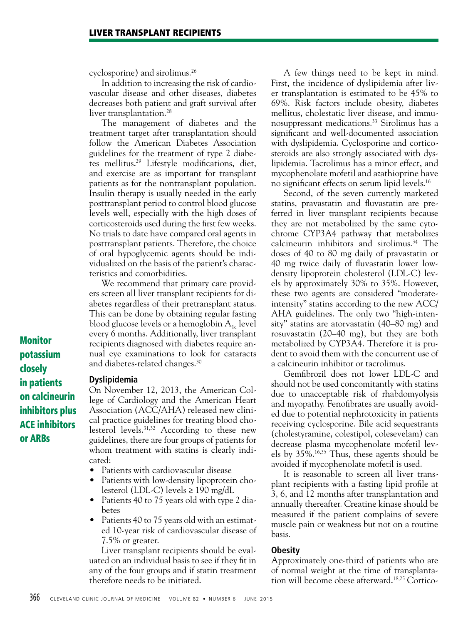cyclosporine) and sirolimus.26

In addition to increasing the risk of cardiovascular disease and other diseases, diabetes decreases both patient and graft survival after liver transplantation.<sup>28</sup>

The management of diabetes and the treatment target after transplantation should follow the American Diabetes Association guidelines for the treatment of type 2 diabetes mellitus.29 Lifestyle modifications, diet, and exercise are as important for transplant patients as for the nontransplant population. Insulin therapy is usually needed in the early posttransplant period to control blood glucose levels well, especially with the high doses of corticosteroids used during the first few weeks. No trials to date have compared oral agents in posttransplant patients. Therefore, the choice of oral hypoglycemic agents should be individualized on the basis of the patient's characteristics and comorbidities.

We recommend that primary care providers screen all liver transplant recipients for diabetes regardless of their pretransplant status. This can be done by obtaining regular fasting blood glucose levels or a hemoglobin  $A_{1c}$  level every 6 months. Additionally, liver transplant recipients diagnosed with diabetes require annual eye examinations to look for cataracts and diabetes-related changes.30

Monitor potassium closely in patients on calcineurin inhibitors plus ACE inhibitors or ARBs

## **Dyslipidemia**

On November 12, 2013, the American College of Cardiology and the American Heart Association (ACC/AHA) released new clinical practice guidelines for treating blood cholesterol levels.31,32 According to these new guidelines, there are four groups of patients for whom treatment with statins is clearly indicated:

- Patients with cardiovascular disease
- Patients with low-density lipoprotein cholesterol (LDL-C) levels ≥ 190 mg/dL
- Patients 40 to 75 years old with type 2 diabetes
- Patients 40 to 75 years old with an estimated 10-year risk of cardiovascular disease of 7.5% or greater.

Liver transplant recipients should be evaluated on an individual basis to see if they fit in any of the four groups and if statin treatment therefore needs to be initiated.

A few things need to be kept in mind. First, the incidence of dyslipidemia after liver transplantation is estimated to be 45% to 69%. Risk factors include obesity, diabetes mellitus, cholestatic liver disease, and immunosuppressant medications.33 Sirolimus has a significant and well-documented association with dyslipidemia. Cyclosporine and corticosteroids are also strongly associated with dyslipidemia. Tacrolimus has a minor effect, and mycophenolate mofetil and azathioprine have no significant effects on serum lipid levels.16

Second, of the seven currently marketed statins, pravastatin and fluvastatin are preferred in liver transplant recipients because they are not metabolized by the same cytochrome CYP3A4 pathway that metabolizes calcineurin inhibitors and sirolimus.34 The doses of 40 to 80 mg daily of pravastatin or 40 mg twice daily of fluvastatin lower lowdensity lipoprotein cholesterol (LDL-C) levels by approximately 30% to 35%. However, these two agents are considered "moderateintensity" statins according to the new ACC/ AHA guidelines. The only two "high-intensity" statins are atorvastatin (40–80 mg) and rosuvastatin (20–40 mg), but they are both metabolized by CYP3A4. Therefore it is prudent to avoid them with the concurrent use of a calcineurin inhibitor or tacrolimus.

Gemfibrozil does not lower LDL-C and should not be used concomitantly with statins due to unacceptable risk of rhabdomyolysis and myopathy. Fenofibrates are usually avoided due to potential nephrotoxicity in patients receiving cyclosporine. Bile acid sequestrants (cholestyramine, colestipol, colesevelam) can decrease plasma mycophenolate mofetil levels by 35%.16,35 Thus, these agents should be avoided if mycophenolate mofetil is used.

It is reasonable to screen all liver transplant recipients with a fasting lipid profile at 3, 6, and 12 months after transplantation and annually thereafter. Creatine kinase should be measured if the patient complains of severe muscle pain or weakness but not on a routine basis.

#### **Obesity**

Approximately one-third of patients who are of normal weight at the time of transplantation will become obese afterward.18,25 Cortico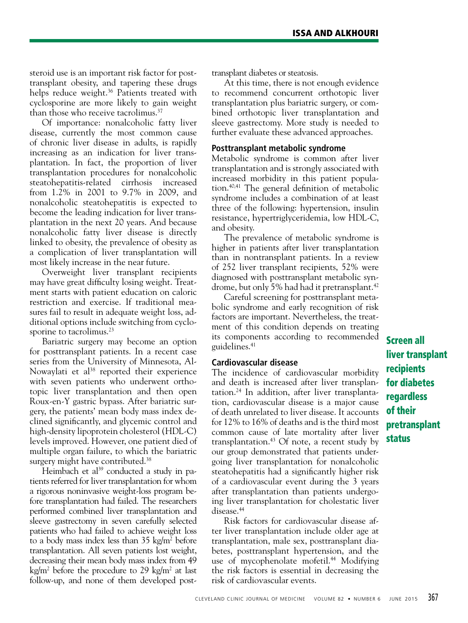steroid use is an important risk factor for posttransplant obesity, and tapering these drugs helps reduce weight.<sup>36</sup> Patients treated with cyclosporine are more likely to gain weight than those who receive tacrolimus.<sup>37</sup>

Of importance: nonalcoholic fatty liver disease, currently the most common cause of chronic liver disease in adults, is rapidly increasing as an indication for liver transplantation. In fact, the proportion of liver transplantation procedures for nonalcoholic steatohepatitis-related cirrhosis increased from 1.2% in 2001 to 9.7% in 2009, and nonalcoholic steatohepatitis is expected to become the leading indication for liver transplantation in the next 20 years. And because nonalcoholic fatty liver disease is directly linked to obesity, the prevalence of obesity as a complication of liver transplantation will most likely increase in the near future.

Overweight liver transplant recipients may have great difficulty losing weight. Treatment starts with patient education on caloric restriction and exercise. If traditional measures fail to result in adequate weight loss, additional options include switching from cyclosporine to tacrolimus.<sup>23</sup>

Bariatric surgery may become an option for posttransplant patients. In a recent case series from the University of Minnesota, Al-Nowaylati et al<sup>38</sup> reported their experience with seven patients who underwent orthotopic liver transplantation and then open Roux-en-Y gastric bypass. After bariatric surgery, the patients' mean body mass index declined significantly, and glycemic control and high-density lipoprotein cholesterol (HDL-C) levels improved. However, one patient died of multiple organ failure, to which the bariatric surgery might have contributed.<sup>38</sup>

Heimbach et al<sup>39</sup> conducted a study in patients referred for liver transplantation for whom a rigorous noninvasive weight-loss program before transplantation had failed. The researchers performed combined liver transplantation and sleeve gastrectomy in seven carefully selected patients who had failed to achieve weight loss to a body mass index less than 35 kg/m2 before transplantation. All seven patients lost weight, decreasing their mean body mass index from 49 kg/m<sup>2</sup> before the procedure to 29 kg/m<sup>2</sup> at last follow-up, and none of them developed posttransplant diabetes or steatosis.

At this time, there is not enough evidence to recommend concurrent orthotopic liver transplantation plus bariatric surgery, or combined orthotopic liver transplantation and sleeve gastrectomy. More study is needed to further evaluate these advanced approaches.

#### **Posttransplant metabolic syndrome**

Metabolic syndrome is common after liver transplantation and is strongly associated with increased morbidity in this patient population.40,41 The general definition of metabolic syndrome includes a combination of at least three of the following: hypertension, insulin resistance, hypertriglyceridemia, low HDL-C, and obesity.

The prevalence of metabolic syndrome is higher in patients after liver transplantation than in nontransplant patients. In a review of 252 liver transplant recipients, 52% were diagnosed with posttransplant metabolic syndrome, but only 5% had had it pretransplant.<sup>42</sup>

Careful screening for posttransplant metabolic syndrome and early recognition of risk factors are important. Nevertheless, the treatment of this condition depends on treating its components according to recommended guidelines.41

#### **Cardiovascular disease**

The incidence of cardiovascular morbidity and death is increased after liver transplantation.24 In addition, after liver transplantation, cardiovascular disease is a major cause of death unrelated to liver disease. It accounts for 12% to 16% of deaths and is the third most common cause of late mortality after liver transplantation.<sup>43</sup> Of note, a recent study by our group demonstrated that patients undergoing liver transplantation for nonalcoholic steatohepatitis had a significantly higher risk of a cardiovascular event during the 3 years after transplantation than patients undergoing liver transplantation for cholestatic liver disease.<sup>44</sup>

Risk factors for cardiovascular disease after liver transplantation include older age at transplantation, male sex, posttransplant diabetes, posttransplant hypertension, and the use of mycophenolate mofetil.<sup>44</sup> Modifying the risk factors is essential in decreasing the risk of cardiovascular events.

Screen all liver transplant recipients for diabetes regardless of their pretransplant status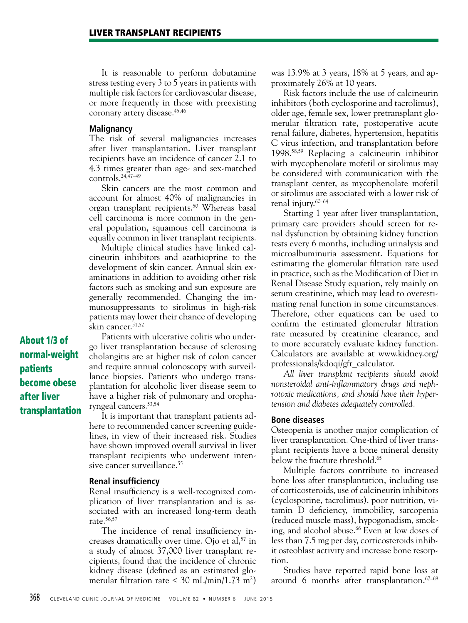It is reasonable to perform dobutamine stress testing every 3 to 5 years in patients with multiple risk factors for cardiovascular disease, or more frequently in those with preexisting coronary artery disease.<sup>45,46</sup>

#### **Malignancy**

The risk of several malignancies increases after liver transplantation. Liver transplant recipients have an incidence of cancer 2.1 to 4.3 times greater than age- and sex-matched controls.24,47–49

Skin cancers are the most common and account for almost 40% of malignancies in organ transplant recipients.50 Whereas basal cell carcinoma is more common in the general population, squamous cell carcinoma is equally common in liver transplant recipients.

Multiple clinical studies have linked calcineurin inhibitors and azathioprine to the development of skin cancer. Annual skin examinations in addition to avoiding other risk factors such as smoking and sun exposure are generally recommended. Changing the immunosuppressants to sirolimus in high-risk patients may lower their chance of developing skin cancer.51,52

About 1/3 of normal-weight patients become obese after liver transplantation

Patients with ulcerative colitis who undergo liver transplantation because of sclerosing cholangitis are at higher risk of colon cancer and require annual colonoscopy with surveillance biopsies. Patients who undergo transplantation for alcoholic liver disease seem to have a higher risk of pulmonary and oropharyngeal cancers.53,54

It is important that transplant patients adhere to recommended cancer screening guidelines, in view of their increased risk. Studies have shown improved overall survival in liver transplant recipients who underwent intensive cancer surveillance.<sup>55</sup>

#### **Renal insufficiency**

Renal insufficiency is a well-recognized complication of liver transplantation and is associated with an increased long-term death rate.56,57

The incidence of renal insufficiency increases dramatically over time. Ojo et al,  $57$  in a study of almost 37,000 liver transplant recipients, found that the incidence of chronic kidney disease (defined as an estimated glomerular filtration rate < 30 mL/min/1.73 m<sup>2</sup>)

was 13.9% at 3 years, 18% at 5 years, and approximately 26% at 10 years.

Risk factors include the use of calcineurin inhibitors (both cyclosporine and tacrolimus), older age, female sex, lower pretransplant glomerular filtration rate, postoperative acute renal failure, diabetes, hypertension, hepatitis C virus infection, and transplantation before 1998.58,59 Replacing a calcineurin inhibitor with mycophenolate mofetil or sirolimus may be considered with communication with the transplant center, as mycophenolate mofetil or sirolimus are associated with a lower risk of renal injury.60–64

Starting 1 year after liver transplantation, primary care providers should screen for renal dysfunction by obtaining kidney function tests every 6 months, including urinalysis and microalbuminuria assessment. Equations for estimating the glomerular filtration rate used in practice, such as the Modification of Diet in Renal Disease Study equation, rely mainly on serum creatinine, which may lead to overestimating renal function in some circumstances. Therefore, other equations can be used to confirm the estimated glomerular filtration rate measured by creatinine clearance, and to more accurately evaluate kidney function. Calculators are available at www.kidney.org/ professionals/kdoqi/gfr\_calculator.

*All liver transplant recipients should avoid nonsteroidal anti-inflammatory drugs and nephrotoxic medications, and should have their hypertension and diabetes adequately controlled.*

#### **Bone diseases**

Osteopenia is another major complication of liver transplantation. One-third of liver transplant recipients have a bone mineral density below the fracture threshold.<sup>65</sup>

Multiple factors contribute to increased bone loss after transplantation, including use of corticosteroids, use of calcineurin inhibitors (cyclosporine, tacrolimus), poor nutrition, vitamin D deficiency, immobility, sarcopenia (reduced muscle mass), hypogonadism, smoking, and alcohol abuse.<sup>66</sup> Even at low doses of less than 7.5 mg per day, corticosteroids inhibit osteoblast activity and increase bone resorption.

Studies have reported rapid bone loss at around 6 months after transplantation.67–69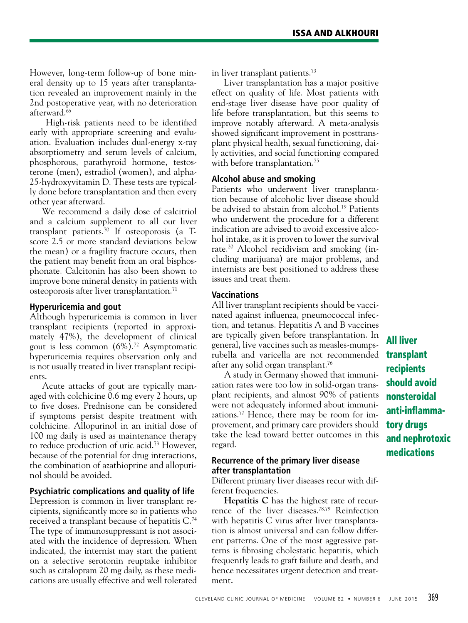However, long-term follow-up of bone mineral density up to 15 years after transplantation revealed an improvement mainly in the 2nd postoperative year, with no deterioration afterward.65

 High-risk patients need to be identified early with appropriate screening and evaluation. Evaluation includes dual-energy x-ray absorptiometry and serum levels of calcium, phosphorous, parathyroid hormone, testosterone (men), estradiol (women), and alpha-25-hydroxyvitamin D. These tests are typically done before transplantation and then every other year afterward.

We recommend a daily dose of calcitriol and a calcium supplement to all our liver transplant patients.<sup>70</sup> If osteoporosis (a  $T$ score 2.5 or more standard deviations below the mean) or a fragility fracture occurs, then the patient may benefit from an oral bisphosphonate. Calcitonin has also been shown to improve bone mineral density in patients with osteoporosis after liver transplantation.<sup>71</sup>

## **Hyperuricemia and gout**

Although hyperuricemia is common in liver transplant recipients (reported in approximately 47%), the development of clinical gout is less common  $(6\%)$ .<sup>72</sup> Asymptomatic hyperuricemia requires observation only and is not usually treated in liver transplant recipients.

Acute attacks of gout are typically managed with colchicine 0.6 mg every 2 hours, up to five doses. Prednisone can be considered if symptoms persist despite treatment with colchicine. Allopurinol in an initial dose of 100 mg daily is used as maintenance therapy to reduce production of uric acid.73 However, because of the potential for drug interactions, the combination of azathioprine and allopurinol should be avoided.

## **Psychiatric complications and quality of life**

Depression is common in liver transplant recipients, significantly more so in patients who received a transplant because of hepatitis C.74 The type of immunosuppressant is not associated with the incidence of depression. When indicated, the internist may start the patient on a selective serotonin reuptake inhibitor such as citalopram 20 mg daily, as these medications are usually effective and well tolerated in liver transplant patients.<sup>73</sup>

Liver transplantation has a major positive effect on quality of life. Most patients with end-stage liver disease have poor quality of life before transplantation, but this seems to improve notably afterward. A meta-analysis showed significant improvement in posttransplant physical health, sexual functioning, daily activities, and social functioning compared with before transplantation.<sup>75</sup>

## **Alcohol abuse and smoking**

Patients who underwent liver transplantation because of alcoholic liver disease should be advised to abstain from alcohol.<sup>19</sup> Patients who underwent the procedure for a different indication are advised to avoid excessive alcohol intake, as it is proven to lower the survival rate.20 Alcohol recidivism and smoking (including marijuana) are major problems, and internists are best positioned to address these issues and treat them.

#### **Vaccinations**

All liver transplant recipients should be vaccinated against influenza, pneumococcal infection, and tetanus. Hepatitis A and B vaccines are typically given before transplantation. In general, live vaccines such as measles-mumpsrubella and varicella are not recommended after any solid organ transplant.76

A study in Germany showed that immunization rates were too low in solid-organ transplant recipients, and almost 90% of patients were not adequately informed about immunizations.<sup>77</sup> Hence, there may be room for improvement, and primary care providers should take the lead toward better outcomes in this regard.

## **Recurrence of the primary liver disease after transplantation**

Different primary liver diseases recur with different frequencies.

**Hepatitis C** has the highest rate of recurrence of the liver diseases.78,79 Reinfection with hepatitis C virus after liver transplantation is almost universal and can follow different patterns. One of the most aggressive patterns is fibrosing cholestatic hepatitis, which frequently leads to graft failure and death, and hence necessitates urgent detection and treatment.

All liver transplant recipients should avoid nonsteroidal anti-inflammatory drugs and nephrotoxic medications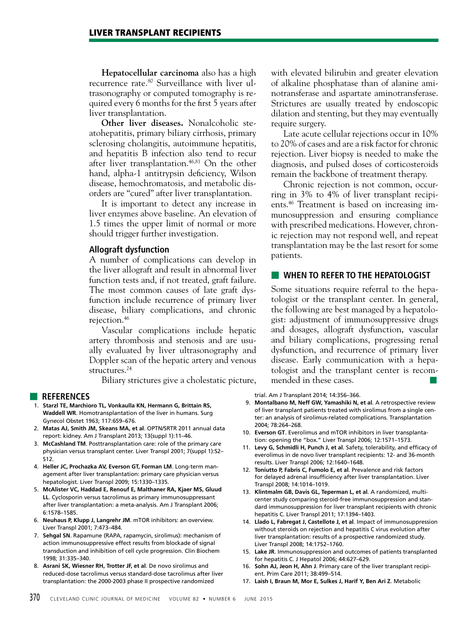**Hepatocellular carcinoma** also has a high recurrence rate.80 Surveillance with liver ultrasonography or computed tomography is required every 6 months for the first 5 years after liver transplantation.

**Other liver diseases.** Nonalcoholic steatohepatitis, primary biliary cirrhosis, primary sclerosing cholangitis, autoimmune hepatitis, and hepatitis B infection also tend to recur after liver transplantation.<sup>46,81</sup> On the other hand, alpha-1 antitrypsin deficiency, Wilson disease, hemochromatosis, and metabolic disorders are "cured" after liver transplantation.

It is important to detect any increase in liver enzymes above baseline. An elevation of 1.5 times the upper limit of normal or more should trigger further investigation.

#### **Allograft dysfunction**

A number of complications can develop in the liver allograft and result in abnormal liver function tests and, if not treated, graft failure. The most common causes of late graft dysfunction include recurrence of primary liver disease, biliary complications, and chronic rejection.46

Vascular complications include hepatic artery thrombosis and stenosis and are usually evaluated by liver ultrasonography and Doppler scan of the hepatic artery and venous structures.<sup>24</sup>

Biliary strictures give a cholestatic picture,

#### ■ **REFERENCES**

- 1. **Starzl TE, Marchioro TL, Vonkaulla KN, Hermann G, Brittain RS, Waddell WR**. Homotransplantation of the liver in humans. Surg Gynecol Obstet 1963; 117:659–676.
- 2. **Matas AJ, Smith JM, Skeans MA, et al**. OPTN/SRTR 2011 annual data report: kidney. Am J Transplant 2013; 13(suppl 1):11–46.
- 3. **McCashland TM**. Posttransplantation care: role of the primary care physician versus transplant center. Liver Transpl 2001; 7(suppl 1):S2– S12.
- 4. **Heller JC, Prochazka AV, Everson GT, Forman LM**. Long-term management after liver transplantation: primary care physician versus hepatologist. Liver Transpl 2009; 15:1330–1335.
- 5. **McAlister VC, Haddad E, Renouf E, Malthaner RA, Kjaer MS, Gluud LL**. Cyclosporin versus tacrolimus as primary immunosuppressant after liver transplantation: a meta-analysis. Am J Transplant 2006; 6:1578–1585.
- 6. **Neuhaus P, Klupp J, Langrehr JM**. mTOR inhibitors: an overview. Liver Transpl 2001; 7:473–484.
- 7. **Sehgal SN**. Rapamune (RAPA, rapamycin, sirolimus): mechanism of action immunosuppressive effect results from blockade of signal transduction and inhibition of cell cycle progression. Clin Biochem 1998; 31:335–340.
- 8. **Asrani SK, Wiesner RH, Trotter JF, et al**. De novo sirolimus and reduced-dose tacrolimus versus standard-dose tacrolimus after liver transplantation: the 2000-2003 phase II prospective randomized

with elevated bilirubin and greater elevation of alkaline phosphatase than of alanine aminotransferase and aspartate aminotransferase. Strictures are usually treated by endoscopic dilation and stenting, but they may eventually require surgery.

Late acute cellular rejections occur in 10% to 20% of cases and are a risk factor for chronic rejection. Liver biopsy is needed to make the diagnosis, and pulsed doses of corticosteroids remain the backbone of treatment therapy.

Chronic rejection is not common, occurring in 3% to 4% of liver transplant recipients.46 Treatment is based on increasing immunosuppression and ensuring compliance with prescribed medications. However, chronic rejection may not respond well, and repeat transplantation may be the last resort for some patients.

#### ■ **WHEN TO REFER TO THE HEPATOLOGIST**

Some situations require referral to the hepatologist or the transplant center. In general, the following are best managed by a hepatologist: adjustment of immunosuppressive drugs and dosages, allograft dysfunction, vascular and biliary complications, progressing renal dysfunction, and recurrence of primary liver disease. Early communication with a hepatologist and the transplant center is recommended in these cases.

trial. Am J Transplant 2014; 14:356–366.

- 9. **Montalbano M, Neff GW, Yamashiki N, et al**. A retrospective review of liver transplant patients treated with sirolimus from a single center: an analysis of sirolimus-related complications. Transplantation 2004; 78:264–268.
- 10. **Everson GT**. Everolimus and mTOR inhibitors in liver transplantation: opening the "box." Liver Transpl 2006; 12:1571–1573.
- 11. **Levy G, Schmidli H, Punch J, et al**. Safety, tolerability, and efficacy of everolimus in de novo liver transplant recipients: 12- and 36-month results. Liver Transpl 2006; 12:1640–1648.
- 12. **Toniutto P, Fabris C, Fumolo E, et al**. Prevalence and risk factors for delayed adrenal insufficiency after liver transplantation. Liver Transpl 2008; 14:1014–1019.
- 13. **Klintmalm GB, Davis GL, Teperman L, et al**. A randomized, multicenter study comparing steroid-free immunosuppression and standard immunosuppression for liver transplant recipients with chronic hepatitis C. Liver Transpl 2011; 17:1394–1403.
- 14. **Llado L, Fabregat J, Castellote J, et al**. Impact of immunosuppression without steroids on rejection and hepatitis C virus evolution after liver transplantation: results of a prospective randomized study. Liver Transpl 2008; 14:1752–1760.
- 15. **Lake JR**. Immunosuppression and outcomes of patients transplanted for hepatitis C. J Hepatol 2006; 44:627–629.
- 16. **Sohn AJ, Jeon H, Ahn J**. Primary care of the liver transplant recipient. Prim Care 2011; 38:499–514.
- 17. **Laish I, Braun M, Mor E, Sulkes J, Harif Y, Ben Ari Z**. Metabolic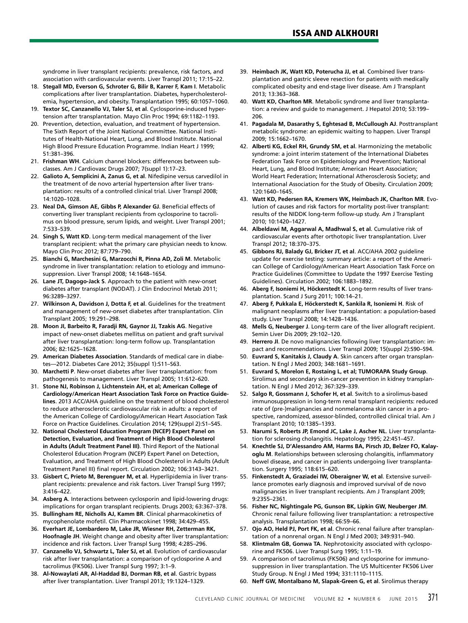syndrome in liver transplant recipients: prevalence, risk factors, and association with cardiovascular events. Liver Transpl 2011; 17:15–22.

- 18. **Stegall MD, Everson G, Schroter G, Bilir B, Karrer F, Kam I**. Metabolic complications after liver transplantation. Diabetes, hypercholesterolemia, hypertension, and obesity. Transplantation 1995; 60:1057–1060.
- 19. **Textor SC, Canzanello VJ, Taler SJ, et al**. Cyclosporine-induced hypertension after transplantation. Mayo Clin Proc 1994; 69:1182–1193.
- 20. Prevention, detection, evaluation, and treatment of hypertension. The Sixth Report of the Joint National Committee. National Institutes of Health-National Heart, Lung, and Blood Institute. National High Blood Pressure Education Programme. Indian Heart J 1999; 51:381–396.
- 21. **Frishman WH**. Calcium channel blockers: differences between subclasses. Am J Cardiovasc Drugs 2007; 7(suppl 1):17–23.
- 22. **Galioto A, Semplicini A, Zanus G, et al**. Nifedipine versus carvedilol in the treatment of de novo arterial hypertension after liver transplantation: results of a controlled clinical trial. Liver Transpl 2008; 14:1020–1028.
- 23. **Neal DA, Gimson AE, Gibbs P, Alexander GJ**. Beneficial effects of converting liver transplant recipients from cyclosporine to tacrolimus on blood pressure, serum lipids, and weight. Liver Transpl 2001; 7:533–539.
- 24. **Singh S, Watt KD**. Long-term medical management of the liver transplant recipient: what the primary care physician needs to know. Mayo Clin Proc 2012; 87:779–790.
- 25. **Bianchi G, Marchesini G, Marzocchi R, Pinna AD, Zoli M**. Metabolic syndrome in liver transplantation: relation to etiology and immunosuppression. Liver Transpl 2008; 14:1648–1654.
- 26. **Lane JT, Dagogo-Jack S**. Approach to the patient with new-onset diabetes after transplant (NODAT). J Clin Endocrinol Metab 2011; 96:3289–3297.
- 27. **Wilkinson A, Davidson J, Dotta F, et al**. Guidelines for the treatment and management of new-onset diabetes after transplantation. Clin Transplant 2005; 19:291–298.
- 28. **Moon JI, Barbeito R, Faradji RN, Gaynor JJ, Tzakis AG**. Negative impact of new-onset diabetes mellitus on patient and graft survival after liver transplantation: long-term follow up. Transplantation 2006; 82:1625–1628.
- 29. **American Diabetes Association**. Standards of medical care in diabetes—2012. Diabetes Care 2012; 35(suppl 1):S11–S63.
- 30. **Marchetti P**. New-onset diabetes after liver transplantation: from pathogenesis to management. Liver Transpl 2005; 11:612–620.
- 31. **Stone NJ, Robinson J, Lichtenstein AH, et al; American College of Cardiology/American Heart Association Task Force on Practice Guidelines**. 2013 ACC/AHA guideline on the treatment of blood cholesterol to reduce atherosclerotic cardiovascular risk in adults: a report of the American College of Cardiology/American Heart Association Task Force on Practice Guidelines. Circulation 2014; 129(suppl 2):S1–S45.
- 32. **National Cholesterol Education Program (NCEP) Expert Panel on Detection, Evaluation, and Treatment of High Blood Cholesterol in Adults (Adult Treatment Panel III)**. Third Report of the National Cholesterol Education Program (NCEP) Expert Panel on Detection, Evaluation, and Treatment of High Blood Cholesterol in Adults (Adult Treatment Panel III) final report. Circulation 2002; 106:3143–3421.
- 33. **Gisbert C, Prieto M, Berenguer M, et al**. Hyperlipidemia in liver transplant recipients: prevalence and risk factors. Liver Transpl Surg 1997; 3:416–422.
- 34. **Asberg A**. Interactions between cyclosporin and lipid-lowering drugs: implications for organ transplant recipients. Drugs 2003; 63:367–378.
- 35. **Bullingham RE, Nicholls AJ, Kamm BR**. Clinical pharmacokinetics of mycophenolate mofetil. Clin Pharmacokinet 1998; 34:429–455.
- 36. **Everhart JE, Lombardero M, Lake JR, Wiesner RH, Zetterman RK, Hoofnagle JH**. Weight change and obesity after liver transplantation: incidence and risk factors. Liver Transpl Surg 1998; 4:285–296.
- 37. **Canzanello VJ, Schwartz L, Taler SJ, et al**. Evolution of cardiovascular risk after liver transplantation: a comparison of cyclosporine A and tacrolimus (FK506). Liver Transpl Surg 1997; 3:1–9.
- 38. **Al-Nowaylati AR, Al-Haddad BJ, Dorman RB, et al**. Gastric bypass after liver transplantation. Liver Transpl 2013; 19:1324–1329.
- 39. **Heimbach JK, Watt KD, Poterucha JJ, et al**. Combined liver transplantation and gastric sleeve resection for patients with medically complicated obesity and end-stage liver disease. Am J Transplant 2013; 13:363–368.
- 40. **Watt KD, Charlton MR**. Metabolic syndrome and liver transplantation: a review and guide to management. J Hepatol 2010; 53:199– 206.
- 41. **Pagadala M, Dasarathy S, Eghtesad B, McCullough AJ**. Posttransplant metabolic syndrome: an epidemic waiting to happen. Liver Transpl 2009; 15:1662–1670.
- 42. **Alberti KG, Eckel RH, Grundy SM, et al**. Harmonizing the metabolic syndrome: a joint interim statement of the International Diabetes Federation Task Force on Epidemiology and Prevention; National Heart, Lung, and Blood Institute; American Heart Association; World Heart Federation; International Atherosclerosis Society; and International Association for the Study of Obesity. Circulation 2009; 120:1640–1645.
- 43. **Watt KD, Pedersen RA, Kremers WK, Heimbach JK, Charlton MR**. Evolution of causes and risk factors for mortality post-liver transplant: results of the NIDDK long-term follow-up study. Am J Transplant 2010; 10:1420–1427.
- 44. **Albeldawi M, Aggarwal A, Madhwal S, et al**. Cumulative risk of cardiovascular events after orthotopic liver transplantation. Liver Transpl 2012; 18:370–375.
- 45. **Gibbons RJ, Balady GJ, Bricker JT, et al**. ACC/AHA 2002 guideline update for exercise testing: summary article: a report of the American College of Cardiology/American Heart Association Task Force on Practice Guidelines (Committee to Update the 1997 Exercise Testing Guidelines). Circulation 2002; 106:1883–1892.
- 46. **Aberg F, Isoniemi H, Höckerstedt K**. Long-term results of liver transplantation. Scand J Surg 2011; 100:14–21.
- 47. **Aberg F, Pukkala E, Höckerstedt K, Sankila R, Isoniemi H**. Risk of malignant neoplasms after liver transplantation: a population-based study. Liver Transpl 2008; 14:1428–1436.
- 48. **Mells G, Neuberger J**. Long-term care of the liver allograft recipient. Semin Liver Dis 2009; 29:102–120.
- 49. **Herrero JI**. De novo malignancies following liver transplantation: impact and recommendations. Liver Transpl 2009; 15(suppl 2):S90–S94.
- 50. **Euvrard S, Kanitakis J, Claudy A**. Skin cancers after organ transplantation. N Engl J Med 2003; 348:1681–1691.
- 51. **Euvrard S, Morelon E, Rostaing L, et al; TUMORAPA Study Group**. Sirolimus and secondary skin-cancer prevention in kidney transplantation. N Engl J Med 2012; 367:329–339.
- 52. **Salgo R, Gossmann J, Schofer H, et al**. Switch to a sirolimus-based immunosuppression in long-term renal transplant recipients: reduced rate of (pre-)malignancies and nonmelanoma skin cancer in a prospective, randomized, assessor-blinded, controlled clinical trial. Am J Transplant 2010; 10:1385–1393.
- 53. **Narumi S, Roberts JP, Emond JC, Lake J, Ascher NL**. Liver transplantation for sclerosing cholangitis. Hepatology 1995; 22:451–457.
- 54. **Knechtle SJ, D'Alessandro AM, Harms BA, Pirsch JD, Belzer FO, Kalayoglu M**. Relationships between sclerosing cholangitis, inflammatory bowel disease, and cancer in patients undergoing liver transplantation. Surgery 1995; 118:615–620.
- 55. **Finkenstedt A, Graziadei IW, Oberaigner W, et al**. Extensive surveillance promotes early diagnosis and improved survival of de novo malignancies in liver transplant recipients. Am J Transplant 2009; 9:2355–2361.
- 56. **Fisher NC, Nightingale PG, Gunson BK, Lipkin GW, Neuberger JM**. Chronic renal failure following liver transplantation: a retrospective analysis. Transplantation 1998; 66:59–66.
- 57. **Ojo AO, Held PJ, Port FK, et al**. Chronic renal failure after transplantation of a nonrenal organ. N Engl J Med 2003; 349:931–940.
- 58. **Klintmalm GB, Gonwa TA**. Nephrotoxicity associated with cyclosporine and FK506. Liver Transpl Surg 1995; 1:11–19.
- 59. A comparison of tacrolimus (FK506) and cyclosporine for immunosuppression in liver transplantation. The US Multicenter FK506 Liver Study Group. N Engl J Med 1994; 331:1110–1115.
- 60. **Neff GW, Montalbano M, Slapak-Green G, et al**. Sirolimus therapy